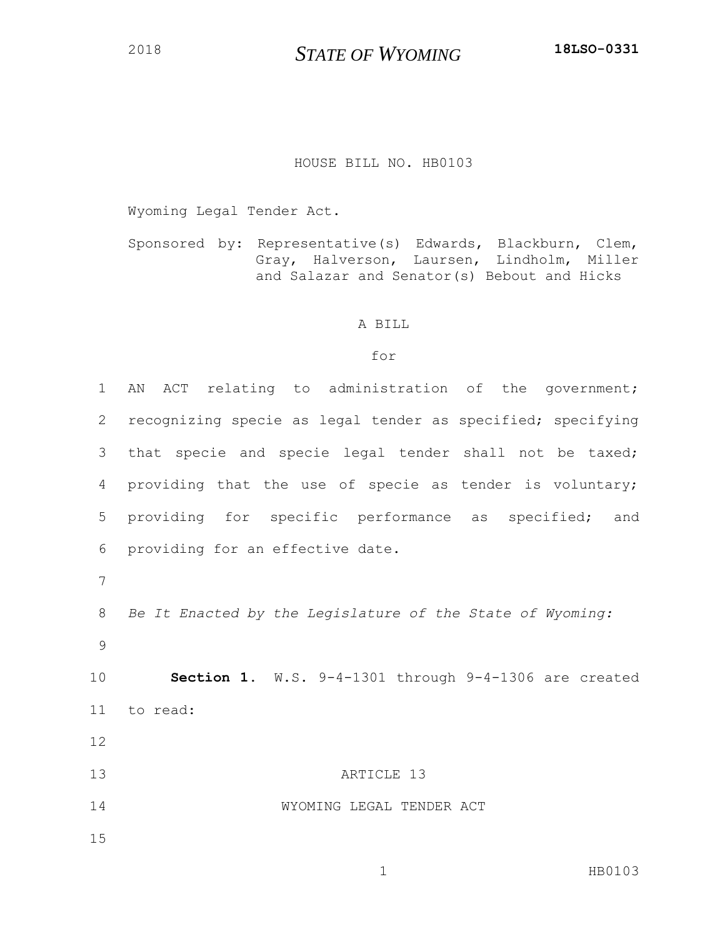## HOUSE BILL NO. HB0103

Wyoming Legal Tender Act.

Sponsored by: Representative(s) Edwards, Blackburn, Clem, Gray, Halverson, Laursen, Lindholm, Miller and Salazar and Senator(s) Bebout and Hicks

## A BILL

## for

| $\mathbf 1$  | ACT relating to administration of the government;<br>ΑN     |
|--------------|-------------------------------------------------------------|
| $\mathbf{2}$ | recognizing specie as legal tender as specified; specifying |
| 3            | that specie and specie legal tender shall not be taxed;     |
| 4            | providing that the use of specie as tender is voluntary;    |
| 5            | providing for specific performance as specified; and        |
| 6            | providing for an effective date.                            |
| 7            |                                                             |
| 8            | Be It Enacted by the Legislature of the State of Wyoming:   |
| 9            |                                                             |
| 10           | Section 1. W.S. 9-4-1301 through 9-4-1306 are created       |
| 11           | to read:                                                    |
| 12           |                                                             |
| 13           | ARTICLE 13                                                  |
| 14           | WYOMING LEGAL TENDER ACT                                    |
| 15           |                                                             |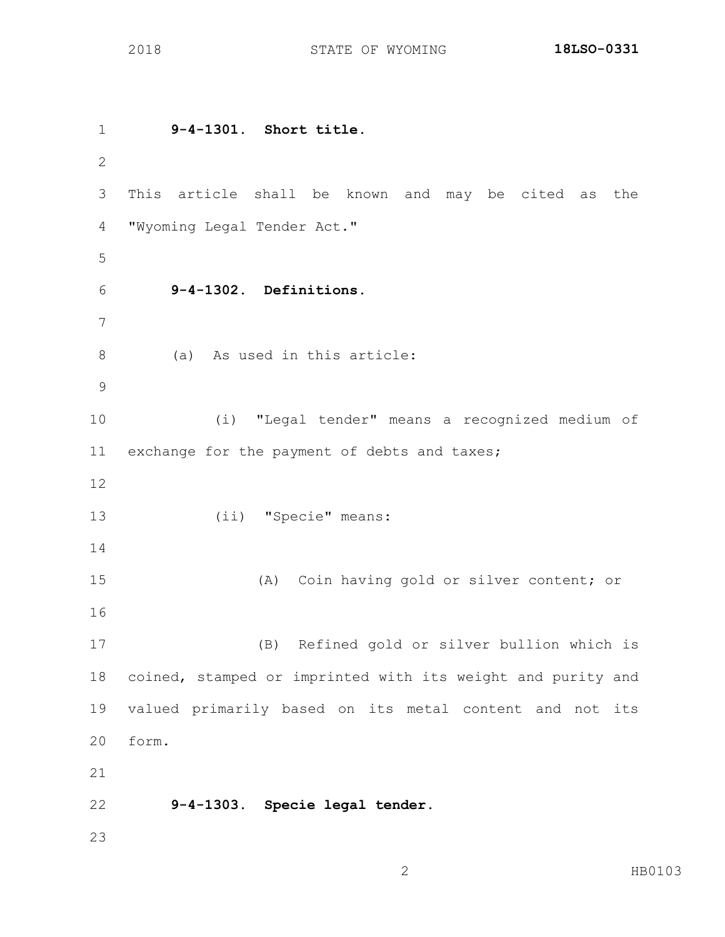**9-4-1301. Short title.** This article shall be known and may be cited as the "Wyoming Legal Tender Act." **9-4-1302. Definitions.** (a) As used in this article: (i) "Legal tender" means a recognized medium of exchange for the payment of debts and taxes; (ii) "Specie" means: (A) Coin having gold or silver content; or (B) Refined gold or silver bullion which is coined, stamped or imprinted with its weight and purity and valued primarily based on its metal content and not its form. **9-4-1303. Specie legal tender.**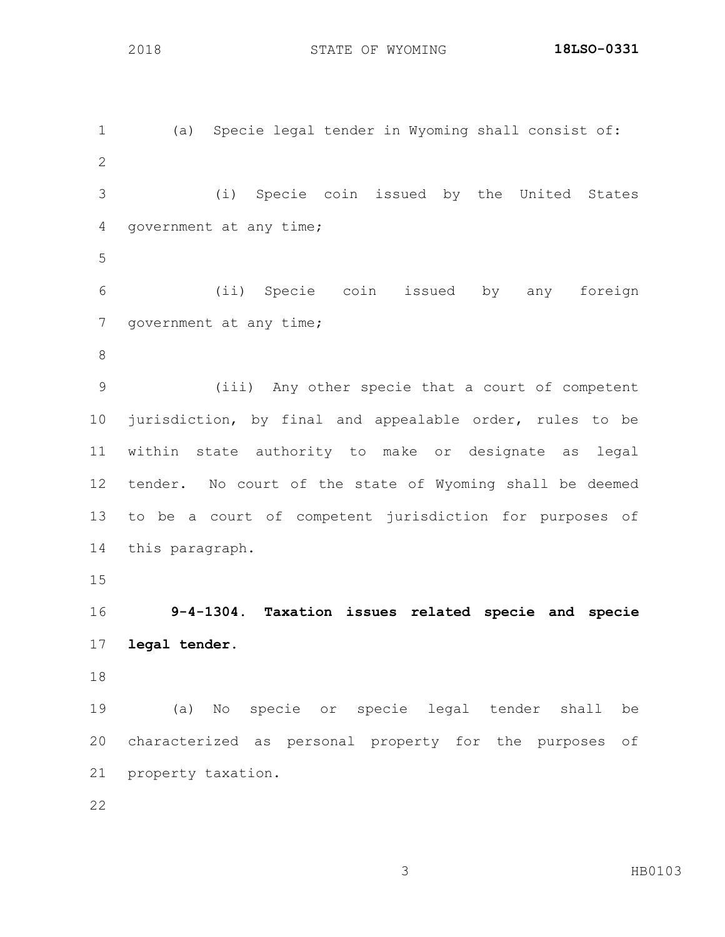(a) Specie legal tender in Wyoming shall consist of: (i) Specie coin issued by the United States government at any time; (ii) Specie coin issued by any foreign 7 government at any time; (iii) Any other specie that a court of competent jurisdiction, by final and appealable order, rules to be within state authority to make or designate as legal tender. No court of the state of Wyoming shall be deemed to be a court of competent jurisdiction for purposes of this paragraph. **9-4-1304. Taxation issues related specie and specie legal tender.** (a) No specie or specie legal tender shall be characterized as personal property for the purposes of property taxation.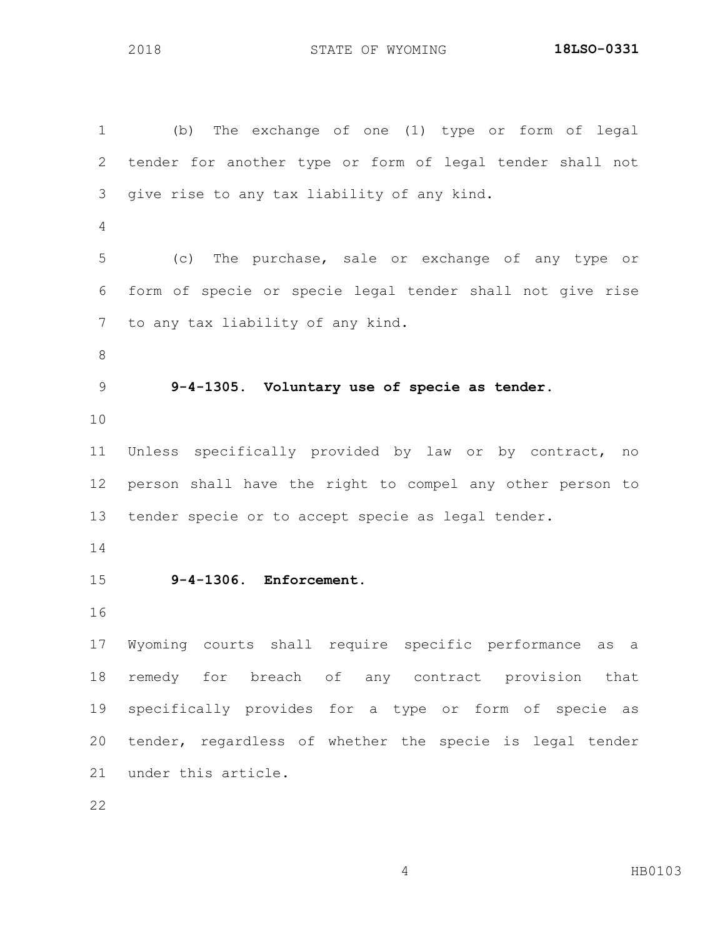(b) The exchange of one (1) type or form of legal tender for another type or form of legal tender shall not give rise to any tax liability of any kind. (c) The purchase, sale or exchange of any type or form of specie or specie legal tender shall not give rise to any tax liability of any kind. **9-4-1305. Voluntary use of specie as tender.** Unless specifically provided by law or by contract, no person shall have the right to compel any other person to tender specie or to accept specie as legal tender. **9-4-1306. Enforcement.** Wyoming courts shall require specific performance as a remedy for breach of any contract provision that specifically provides for a type or form of specie as tender, regardless of whether the specie is legal tender under this article.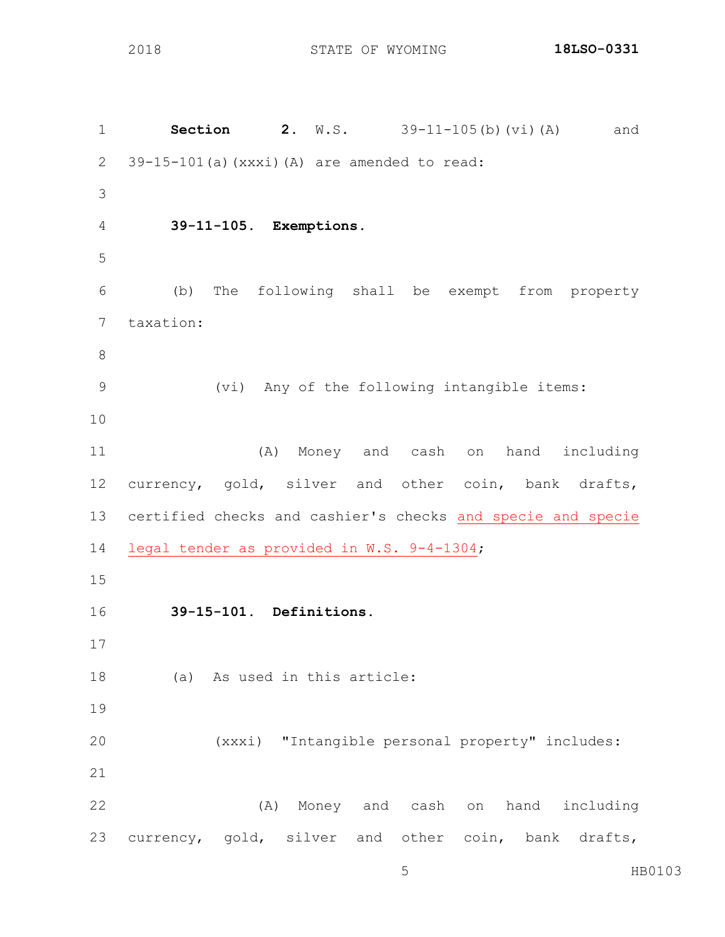**Section 2.** W.S. 39-11-105(b)(vi)(A) and 39-15-101(a)(xxxi)(A) are amended to read: **39-11-105. Exemptions.** (b) The following shall be exempt from property taxation: (vi) Any of the following intangible items: (A) Money and cash on hand including currency, gold, silver and other coin, bank drafts, certified checks and cashier's checks and specie and specie legal tender as provided in W.S. 9-4-1304; **39-15-101. Definitions.** (a) As used in this article: (xxxi) "Intangible personal property" includes: (A) Money and cash on hand including currency, gold, silver and other coin, bank drafts,

HB0103